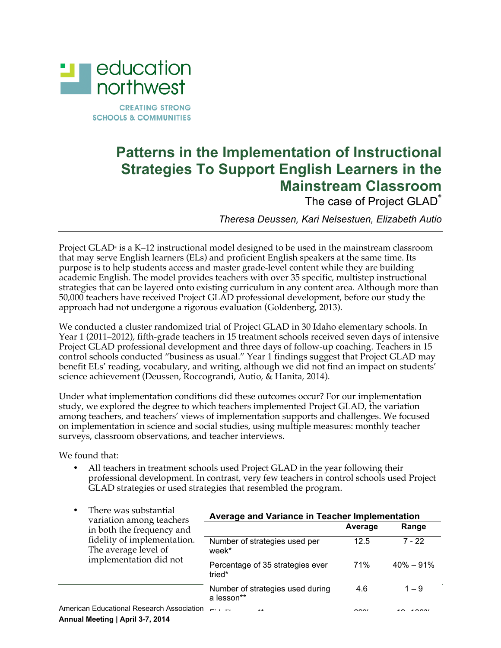

**CREATING STRONG SCHOOLS & COMMUNITIES** 

## **Patterns in the Implementation of Instructional Strategies To Support English Learners in the Mainstream Classroom**

The case of Project GLAD<sup>®</sup>

*Theresa Deussen, Kari Nelsestuen, Elizabeth Autio*

Project GLAD® is a K–12 instructional model designed to be used in the mainstream classroom that may serve English learners (ELs) and proficient English speakers at the same time. Its purpose is to help students access and master grade-level content while they are building academic English. The model provides teachers with over 35 specific, multistep instructional strategies that can be layered onto existing curriculum in any content area. Although more than 50,000 teachers have received Project GLAD professional development, before our study the approach had not undergone a rigorous evaluation (Goldenberg, 2013).

We conducted a cluster randomized trial of Project GLAD in 30 Idaho elementary schools. In Year 1 (2011–2012), fifth-grade teachers in 15 treatment schools received seven days of intensive Project GLAD professional development and three days of follow-up coaching. Teachers in 15 control schools conducted "business as usual." Year 1 findings suggest that Project GLAD may benefit ELs' reading, vocabulary, and writing, although we did not find an impact on students' science achievement (Deussen, Roccograndi, Autio, & Hanita, 2014).

Under what implementation conditions did these outcomes occur? For our implementation study, we explored the degree to which teachers implemented Project GLAD, the variation among teachers, and teachers' views of implementation supports and challenges. We focused on implementation in science and social studies, using multiple measures: monthly teacher surveys, classroom observations, and teacher interviews.

We found that:

• All teachers in treatment schools used Project GLAD in the year following their professional development. In contrast, very few teachers in control schools used Project GLAD strategies or used strategies that resembled the program.

| There was substantial<br>variation among teachers<br>in both the frequency and<br>fidelity of implementation.<br>The average level of<br>implementation did not | Average and Variance in Teacher Implementation |         |                         |
|-----------------------------------------------------------------------------------------------------------------------------------------------------------------|------------------------------------------------|---------|-------------------------|
|                                                                                                                                                                 |                                                | Average | Range                   |
|                                                                                                                                                                 | Number of strategies used per<br>week*         | 12.5    | $7 - 22$                |
|                                                                                                                                                                 | Percentage of 35 strategies ever<br>tried*     | 71%     | $40\% - 91\%$           |
|                                                                                                                                                                 | Number of strategies used during<br>a lesson** | 4.6     | $1 - 9$                 |
| American Educational Research Association                                                                                                                       | <b>PERMIT MADE A STORE AND</b>                 | 0.001   | $\lambda$ $\cap$ $\cap$ |

**Annual Meeting | April 3-7, 2014**